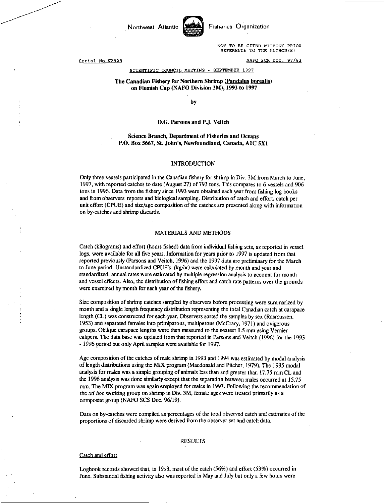Northwest Atlantic **Say Fisheries Organization** 



NOT TO BE CITED WITHOUT PRIOR REFERENCE TO THE AUTHOR(S)

Serial No.N2929 NAFO SCR Doc. 97/83

#### SCIENTIFIC COUNCIL MEETING - SEPTEMBER 1997

### The Canadian Fishery for Northern Shrimp (Pandalus borealis) on Flemish Cap (NAFO Division 3M), 1993 to 1997

by

#### D.G. Parsons and P.J. Veitch

### Science Branch, Department of Fisheries and Oceans P.O. Box 5667, St. John's, Newfoundland, Canada, AIC 5X1

#### INTRODUCTION

Only three vessels participated in the Canadian fishery for shrimp in Div. 3M from March to June, 1997, with reported catches to date (August 27) of 793 tons. This compares to 6 vessels and 906 tons in 1996. Data from the fishery since 1993 were obtained each year from fishing log books and from observers' reports and biological sampling. Distribution of catch and effort, catch per unit effort (CPUE) and size/age composition of the catches are presented along with information on by-catches and shrimp discards.

#### MATERIALS AND METHODS

Catch (kilograms) and effort (hours fished) data from individual fishing sets, as reported in vessel logs, were available for all five years. Information for years prior to 1997 is updated from that reported previously (Parsons and Veitch, 1996) and the 1997 data are preliminary for the March to June period. Unstandardized CPUE's (kg/hr) were *calculated* by month and year and standardized, annual rates were estimated by multiple regression analysis to account for month and vessel effects. Also, the distribution of fishing effort and catch rate patterns over the grounds were examined by month for each year of the fishery.

Size composition of shrimp catches sampled by observers before processing were summarized by month and a single length frequency distribution representing the total Canadian catch at carapace length (CL) was constructed for each year. Observers sorted the samples by sex (Rasmussen, 1953) and separated females into primiparous, multiparous (McCrary, 1971) and ovigerous groups. Oblique carapace lengths were then measured to the nearest 0.5 mm using Vernier calipers. The data base was updated from that reported in Parsons and Veitch (1996) for the 1993 - 1996 period but only April samples were available for 1997.

Age composition of the catches of male shrimp in 1993 and 1994 was estimated by modal analysis of length distributions using the MIX program (Macdonald and Pitcher, 1979). The 1995 modal analysis for males was a simple grouping of animals less than and greater than 17.75 min CL and the 1996 analysis was done similarly except that the separation between males occurred at 15.75 mm. The MIX program was again employed for males in 1997. Following the recommendation of the *ad hoc* working group on shrimp in Div. 3M, female ages were treated primarily as a composite group (NAFO SCS Doc. 96/19).

Data on by-catches were compiled as percentages of the total observed catch and estimates of the proportions of discarded shrimp were derived from the observer set and catch data.

#### RESULTS

#### Catch and effort

Logbook records showed that, in 1993, most of the catch (56%) and effort (53%) occurred in June. Substantial fishing activity also was reported in May and July but only a *few* hours were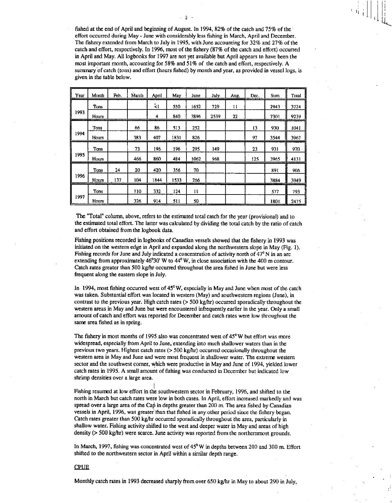fished at the end of April and beginning of August. In 1994, 82% of the catch and 75% of the effort occurred during May - June with considerably less fishing in March, April and December. The fishery extended from March to July in 1995, with June accounting for 32% and 27% of the catch and effort, respectively. In 1996, most of the fishery (87% of the catch and effort) occurred in April and May. All logbooks for 1997 are not yet available but April appears to have been the most important month, accounting for 58% and 51% of the catch and effort, respectively. A summary of catch (tons) and effort (hours fished) by month and year, as provided in vessel logs, is given in the table below.

| Year | Month        | Feb. | March | April    | May  | June | July. | Aug. | Dec. | Sum  | Total |
|------|--------------|------|-------|----------|------|------|-------|------|------|------|-------|
|      | Tons         |      |       | $\leq$ 1 | 550  | 1652 | 729   | 11   |      | 2943 | 3724  |
| 1993 | <b>Hours</b> |      |       | 4        | 840  | 3896 | 2539  | 22   |      | 7301 | 9239  |
|      | <b>Tons</b>  |      | 66    | 86       | 513  | 252  |       |      | 13   | 930  | 1041  |
| 1994 | Hours        |      | 383   | 407      | 1831 | 826  |       |      | 97   | 3544 | 3967  |
|      | Tons         |      | 73    | 196      | 196  | 295  | 149   |      | 23   | 931  | 970   |
| 1995 | Hours        |      | 466   | 860      | 484  | 1062 | 968   |      | 125  | 3965 | 4131  |
|      | Tons         | 24   | 20    | 420      | 356  | 70   |       |      |      | 891  | 906   |
| 1996 | Hours        | 137  | 104   | 1844     | 1533 | 266  |       |      |      | 3884 | 3949  |
|      | Tons         |      | 110   | 332      | 124  | 11   |       |      |      | 577  | 793   |
| 1997 | Hours        |      | 326   | 914      | 511  | 50   |       |      |      | 1801 | 2475  |

The "Total" column, above, refers to the estimated total catch for the year (provisional) and to the estimated total effort. The latter was calculated by dividing the total catch by the ratio of catch and effort obtained from the logbook data.

Fishing positions recorded in logbooks of Canadian vessels showed that the fishery in 1993 was initiated on the western edge in April and expanded along the northwestern slope in May (Fig. 1). Fishing records for June and July indicated a concentration of activity north of  $47^{\circ}$  N in an arc extending from approximately  $46^{\circ}30'$  W to  $44^{\circ}$  W, in close association with the 400 m contour. Catch rates greater than 500 kg/hr occurred throughout the area fished in June but were less frequent along the eastern slope in July.

In 1994, most fishing occurred west of 45°W, especially in May and June when most of the catch was taken. Substantial effort was located in western (May) and southwestern regions (lune), in contrast to the previous year. High catch rates (> 500 kg/br) occurred sporadically throughout the western areas in May and June but were encountered infrequently earlier in the year. Only a small amount of catch and effort was reported for December and catch rates were low throughout the same area fished as in spring.

The fishery in most months of 1995 also was concentrated west of  $45^{\circ}$ W but effort was more widespread, especially from April to June, extending into much shallower waters than in the previous two years. Highest catch rates (> 500 kg/br) occurred occasionally throughout the western area in May and June and were most frequent in shallower water. The extreme western sector and the southwest corner, which were productive in May and June of 1994, yielded lower catch rates in 1995. A small amount of fishing was conducted in December but indicated low shrimp densities over a large area.

Fishing resumed at low effort in the southwestern sector in February, 1996, and shifted to the north in March but catch rates were low in both cases. In April, effort increased markedly and was spread over a large area of the Cap in depths greater than 200 m. The area fished by Canadian vessels in April, 1996, was greater than that fished in any other period since the fishery began. Catch rates greater than 500 kg/hr occurred sporadically throughout the area, particularly in shallow water. Fishing activity shifted to the west and deeper water in May and areas of high density (> 500 kg/hr) were scarce. June activity was reported from the northernmost grounds.

In March, 1997, fishing was concentrated west of  $45^{\circ}$ W in depths between 200 and 300 m. Effort shifted to the northwestern sector in April within a similar depth range.

#### **CPUE**

Monthly catch rates in 1993 decreased sharply from over 650 kg/hr in May to about 290 in July,

 $\sim$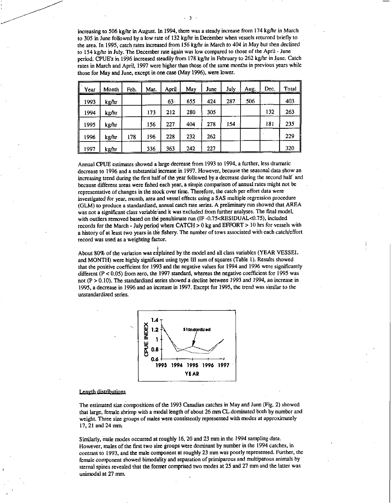increasing to 506 kg/hr in August. In 1994, there was a steady increase from 174 kg/hr in March to 305 in June followed by a low rate of 132 kg/hr in December when vessels returned briefly to the area. In 1995, catch rates increased from 156 kg/hr in March to 404 *in May* but then declined to 154 kg/hr in July. The December rate again was low compared to those of the April - June period. CPUE's in 1996 increased steadily from 178 kg/hr in February to 262 kg/hr in June. Catch rates in March and April, 1997 were higher than those of the same months in previous years while those for May and June, except in one case (May 1996), were lower.

| Year | Month | Feb. | Mar. | April | May | June | July | Aug. | Dec. | <b>Total</b> |
|------|-------|------|------|-------|-----|------|------|------|------|--------------|
| 1993 | kg/hr |      |      | 63    | 655 | 424  | 287  | 506  |      | 403          |
| 1994 | kg/hr |      | 173  | 212   | 280 | 305  |      |      | 132  | 263          |
| 1995 | kg/hr |      | 156  | 227   | 404 | 278  | 154  |      | 181  | 235          |
| 1996 | kg/hr | 178  | 196  | 228   | 232 | 262  |      |      |      | 229          |
| 1997 | kg/hr |      | 336  | 363   | 242 | 227  |      |      |      | 320          |

Annual CPUE estimates showed a large decrease from 1993 to 1994, a further, less dramatic decrease to 1996 and a substantial increase in 1997. However, because the seasonal data show an increasing trend during the first half of the year followed by a decrease during the second half and because different areas were fished each year, a simple comparison of annual rates might not be representative of changes in the stock over time. Therefore, the catch per effort data were *investigated for year, month,* area and vessel effects using a SAS multiple regression procedure (GLM) to produce a standardized, annual catch rate series. A preliminary run showed that AREA was not a significant class variable-and it was excluded from further analyses. The final model, with outliers removed based on the penultimate run (IF -0.75<RESIDUAL<0.75), included records for the March - July period where CATCH > 0 kg and EFFORT > 10 hrs for vessels with a history of at least two years in the fishery. The number of tows associated with each catch/effort record was used as a weighting factor.

About 80% of the variation was explained by the model and all class variables (YEAR VESSEL and MONTH) were highly significant using type III sum of squares (Table 1). Results showed that the positive coefficient for 1993 and the negative values for 1994 and 1996 were significantly different  $(P < 0.05)$  from zero, the 1997 standard, whereas the negative coefficient for 1995 was not (P > 0.10). The standardized series showed a decline *between* 1993 *and* 1994, *an increase* in 1995, a decrease in 1996 and an increase in 1997. Except for 1995, the trend was similar to the unstandardized series.



# Length distributions

The estimated size compositions of the 1993 Canadian catches in May and June (Fig. 2) showed that large, female shrimp with a modal length of about 26 mm CL dominated both by number and weight. Three size groups of males were consistently represented with modes at approximately 17, 21 and 24 mm.

Similarly, male modes occurred at roughly 16, 20 and 23 mm in the 1994 *sampling data.*  However, males of the first two size groups were dominant by number in the 1994 catches, in contrast to 1993, and the male component at roughly 23 mm was poorly represented. Further, the female component showed bimodality and separation of primiparous and multiparous animals by sternal spines revealed that the former comprised two modes at 25 and 27 mm and the latter was unirnodal at 27 mm.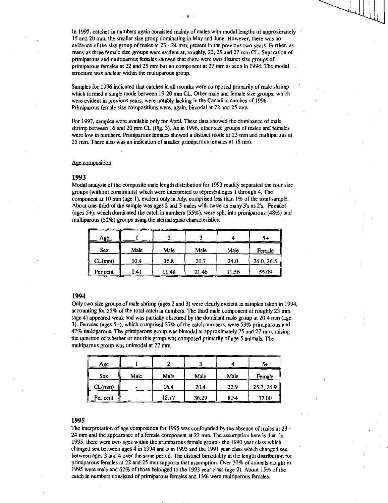In 1995, catches in numbers again consisted mainly of males with modal lengths of approximately 15 and 20 mm, the smaller size group dominating in May and June. However, there was no evidence of the size group of males at 23 - 24 mm, present in the previous two years. Further, as many as three female size groups were evident at, roughly, 22, 25 and 27 mm CL. Separation of primiparous and multiparous females showed that there were two distinct size groups of primiparous females at 22 and 25 mm but no component at 27 mm as seen in 1994. The modal structure was unclear within the multiparous group.

Samples for 1996 indicated that catches in all months were composed primarily of male shrimp which formed a single mode between 19-20 mm CL. Other male and female size groups, which were evident in previous years, were notably lacking in the Canadian catches of 1996. Primiparous female size compositibns were, again, bimodal at 22 and 25 mm.

For 1997, samples were available only for April. These data showed the dominance of male shrimp between 16 and 20 mm CL (Fig. 3). As in 1996, other size groups of males and females were low in numbers. Primiparous females showed a distinct mode at 23 mm and multiparous at 25 mm. There also was an indication of smaller primiparous females at 18 mm.

### Age composition

#### **1993**

Modal analysis of the composite male length distribution for 1993 readily separated the four size groups (without constraints) which were interpreted to represent ages 1 through 4. The component at 10 nun (age 1), evident only in July, comprised less than 1% of the total sample. About one-third of the sample was ages 2 and 3 males with twice as many 3's as 2's. Females (ages 5+), which dominated the catch in numbers (55%), were split into primiparous (48%) and multiparous (52%) groups using the sternal spine characteristics.

| Age        |      |       |       |       | S+         |
|------------|------|-------|-------|-------|------------|
| <b>Sex</b> | Male | Male  | Male  | Male  | Female     |
| CL(mm)     | 10.4 | 16.8  | 20.7  | 24.0  | 26.0, 26.5 |
| Per cent   | 0.41 | 11.48 | 21.46 | 11.56 | 55.09      |

#### **1994**

Only two size groups of male shrimp (ages 2 and 3) were clearly evident in samples taken in 1994, accounting for 55% of the total catch in numbers. The third male component at roughly 23 mm (age 4) appeared weak and was partially obscured by the dominant male group at 20.4 mm (age 3). Females (ages 5+), which comprised 37% of the catch numbers, were 53% primiparous and 47% multiparous. The primiparous group was bimodal at approximately 25 and 27 mm, raising the question of whether or not this group was composed primarily of age 5 animals. The multiparous group was unimodal at 27 mm.

| Age      |      |       |       |      | 54         |
|----------|------|-------|-------|------|------------|
| Sex      | Male | Male  | Male  | Male | Female     |
| CL(mn)   |      | 16.4  | 20.4  | 22.9 | 25.7, 26.9 |
| Per cent |      | 18.17 | 36.29 | 8.54 | 37.00      |

# **1995**

The interpretation of age composition for 1995 was confounded by the absence of males at 23 - 24 mm and the appearance of a female component at 22 mm. The assumption here is that, in 1995, there were two ages within the primiparous female group - the 1990 year class which changed sex between ages 4 in 1994 and 5 in 1995 and the 1991 year class which changed sex between ages 3 and 4 over the same period. The distinct bimodality in the length distribution for primiparous females at 22 and 25 mm supports that assumption. Over 70% of animals caught in 1995 were male and 62% of those belonged to the 1993 year class (age 2). About 15% of the catch in numbers consisted of primiparous females and 13% were multiparous females.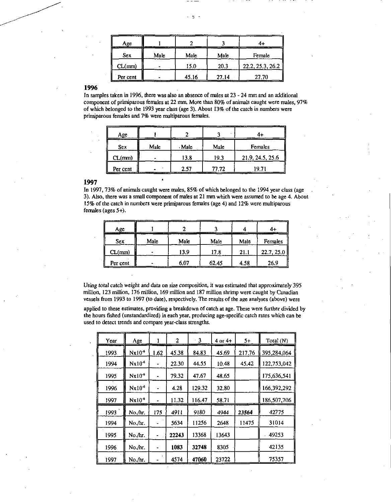| Αge      |      |       |       | ----             |
|----------|------|-------|-------|------------------|
| Sex      | Male | Male  | Male  | Female           |
| CL(mm)   |      | 15.0  | 20.3  | 22.2, 25.3, 26.2 |
| Per cent |      | 45.16 | 27.14 | 27.70            |

 $-5 -$ 

**1996** 

In samples taken in 1996, there was also an absence of males at 23 - 24 mm and an additional component of primiparous females at 22 mm. More than 80% of animals caught were males, 97% of which belonged to the 1993 year class (age 3). About 13% of the catch in numbers were primiparous females and 7% were multiparous females.

| Age.       |      |      |       |                  |
|------------|------|------|-------|------------------|
| <b>Sex</b> | Malc | Male | Male  | Females          |
| CL(mm)     |      | 13.8 | 19.3  | 21.9, 24.5, 25.6 |
| Per cent   |      | 2.57 | 77.72 |                  |

# **1997**

In 1997, 73% of animals caught were males, 85% of which belonged to the 1994 year class (age 3). Also, there was a small component of males at 21 mm which were assumed to be age 4. About 15% of the catch in numbers were primiparous females (age 4) and 12% were multiparous females (ages 5+).

 $\hat{\mathbf{z}}$ 

| Age      |      |      |       | --   |            |
|----------|------|------|-------|------|------------|
| Sex      | Male | Male | Male  | Male | Females    |
| CL(mm)   |      | 13.9 | 17.8  | 21.1 | 22.7, 25.0 |
| Per cent |      | 6.07 | 62.45 | 4.58 | 26.9       |

*Using total catch weight and data* on size composition, it was estimated that approximately 395 million, 123 million, 176 million, 169 million and 187 million shrimp were caught by Canadian vessels from 1993 to 1997 (to date), respectively. The results of the age analyses (above) were

applied to these estimates, providing a breakdown of catch at age. These were further divided by the hours fished (unstandardized) in each year, producing age-specific catch rates which can be used to detect trends and compare year-class strengths.

| Year | Age               |      | 2     | 3<br>٠ | $4$ or $4+$ | $5+$   | Total (N)   |
|------|-------------------|------|-------|--------|-------------|--------|-------------|
| 1993 | $Nx10^6$          | 1.62 | 45.38 | 84.83  | 45.69       | 217.76 | 395,284,064 |
| 1994 | Nx10 <sup>6</sup> |      | 22.30 | 44.55  | 10.48       | 45.42  | 122,753,042 |
| 1995 | Nx10 <sup>6</sup> |      | 79.32 | 47.67  | 48.65       |        | 175,636,541 |
| 1996 | $Nx10^{-6}$       |      | 4.28  | 129.32 | 32.80       |        | 166,392,292 |
| 1997 | $Nx10^{\circ}$    |      | 11.32 | 116.47 | 58.71       |        | 186,507,706 |
| 1993 | No./hr.           | 175  | 4911  | 9180   | 4944        | 23564  | 42775       |
| 1994 | No./hr.           |      | 5634  | 11256  | 2648        | 11475  | 31014       |
| 1995 | No./hr.           |      | 22243 | 13368  | 13643       |        | 49253       |
| 1996 | No./hr.           |      | 1083  | 32748  | 8305        |        | 42135       |
| 1997 | No./hr.           |      | 4574  | 47060  | 23722       |        | 75357       |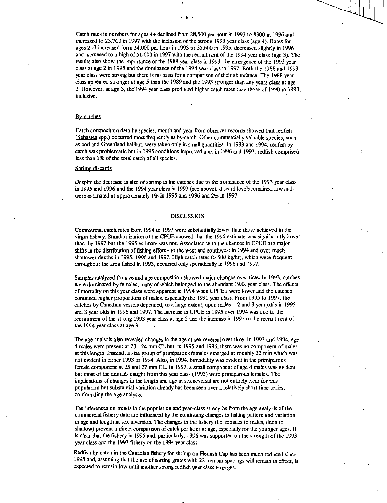Catch rates in numbers for ages 4+ declined from 28,500 per hour in 1993 to 8300 in 1996 and increased to 23,700 in 1997 with the inclusion of the strong 1993 year class (age 4). Rates for ages 2+3 increased form 14,000 per hour in 1993 to 35,600 in 1995, decreased slightly in 1996 and increased to a high of 51,600 in 1997 with the recruitment of the 1994 year class (age 3). The results also show the importance of the 1988 year class in 1993, the emergence of the 1993 year class at age 2 in 1995 and the dominance of the 1994 year class in 1997. Both the 1988 and 1993 year class were strong but there is no basis for a comparison of their abundance. The 1988 year class appeared stronger at age 5 than the 1989 and the 1993 stronger than any years class at age 2. However, at age 3, the 1994 year class produced higher catch rates than those of 1990 to 1993, inclusive.

#### By-catches

Catch composition data by species, month and year from observer records showed that redfish (Sebastes spp.) occurred most frequently as by-catch. Other commercially valuable species, such as cod and Greenland halibut, were taken only in small quantities. In 1993 and 1994, redfish bycatch was problematic but in 1995 conditions improved and, in 1996 and 1997, redfish comprised less than 1% of the total catch of all species.

#### Shrimp discards

Despite the decrease in size of shrimp in the catches due to the dominance of the 1993 year class in 1995 and 1996 and the 1994 year class in 1997 (see above), discard levels remained low and were estimated at approximately 1% in 1995 and 1996 and 2% in 1997.

#### DISCUSSION

Commercial catch rates from 1994 to 1997 were substantially lower than those achieved in the virgin fishery. Standardization of the CPUE showed that the 1996 estimate was significantly lower than the 1997 but the 1995 estimate was not. Associated with the changes in CPUE are major shifts in the distribution of fishing effort - to the west and southwest in 1994 and over much shallower depths in 1995, 1996 and 1997. High catch rates (> 500 kg/hr), which were frequent throughout the area fished in 1993, occurred only sporadically in 1996 and 1997.

Samples analyzed for size and age composition showed major changes over tine. In 1993, catches were dominated by females, many of which belonged to the abundant 1988 year class. The effects of mortality on this year class were apparent in 1994 when CPUE's were lower and the catches contained higher proportions of males, especially the 1991 year class. From 1995 to 1997, the catches by Canadian vessels depended, to a large extent, upon males - 2 and 3 year olds in 1995 and 3 year olds in 1996 and 1997. The increase in CPUE in 1995 over 1994 was due to the recruitment of the strong 1993 year class at age 2 and the increase in 1997 to the recruitment of the 1994 year class at age 3.

The age analysis also revealed changes in the age at sex reversal over time. In 1993 and 1994, age 4 males were present at 23 - 24 mm CL but, in 1995 and 1996, there was no component of males at this length. Instead, a size group of primiparous females emerged at roughly 22 mm which was not evident in either 1993 or 1994. Also, in 1994, bimodality was evident in the primiparous female component at 25 and 27 mm CL. In 1997, a small component of age 4 males was evident but most of the animals caught from this year class (1993) were primiparous females. The implications of changes in the length and age at sex reversal are not entirely clear for this population but substantial variation already has been seen over a relatively short time series, confounding the age analysis.

The inferences on trends in the population and year-class strengths from the age analysis of the commercial fishery data are influenced by the continuing changes in fishing pattern and variation in age and length at sex inversion. The changes in the fishery (i.e. females to males, deep to shallow) prevent a direct comparison of catch per hour at age, especially for the younger ages. It is clear that the fishery in 1995 and, particularly, 1996 was supported on the strength of the 1993 year class and the 1997 fishery on the 1994 year class.

Redfish by-catch in the Canadian fishery for shrimp on Flemish Cap has been much reduced since 1995 and, assuming that the use of sorting grates with 22 mm bar spacings will remain in effect, is expected to remain low until another strong redfish year class emerges.

6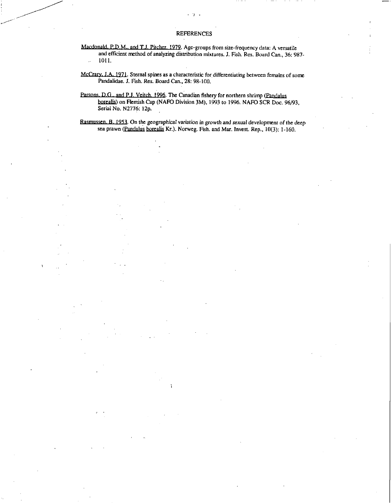## **REFERENCES**

 $\cdot$ 

Macdonald, P.D.M., and T.J. Pitcher. 1979. Age-groups from size-frequency data: A versatile and efficient method of analyzing distribution mixtures. J. Fish. Res. Board Can., 36: 987-  $- 1011.$ 

McCrary. T.A. 1971. Sternal spines as a characteristic for differentiating between females of some Pandalidae. J. Fish. Res. Board Can., 28: 98-100.

Parsons. D.G., and P.J. Veitch. 1996. The Canadian fishery for northern shrimp (Pandalus borealis) on Flemish Cap (NAFO Division 3M), 1993 to 1996. NAFO SCR Doc. 96/93, Serial No. N2776: 12p.

Rasmussen. B. 1953. On the geographical variation in growth and sexual development of the deep sea prawn (Pandalus borealis Kr.). Norweg. Fish. and Mar. Invest. Rep., 10(3): 1-160.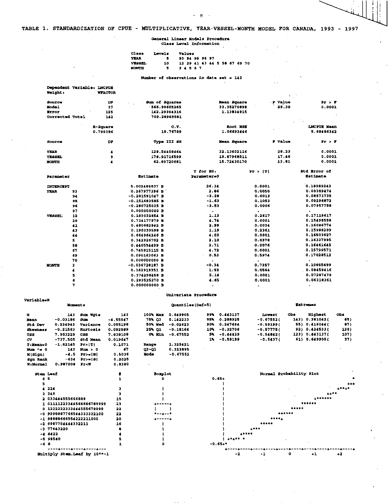- 8

 $\sim$ 

 $\lambda$ 

 $\sim$   $\sim$ 

 $\mathcal{A}$  $\mathbf{r}$  $\bar{z}$ 

> $\sim$  $\bar{\mathcal{A}}$

 $\ddot{\phantom{a}}$ 

 $\Delta \sim 100$ 

# **General Linear Models Procedure Class Level Information**

| Class  | Levels. | $\overline{\phantom{a}}$<br>Values<br>٠ |  |
|--------|---------|-----------------------------------------|--|
| YEAR   | 5.      | 93 94 95 96 97                          |  |
| VESSEL | 10      | 12 29 41 43 44 5 58 67 69 70            |  |
| MONTH  |         | 3 4 5 6 7                               |  |

Number of observations in data set = 143

|                | <b>Dependent Variable: LNCPUE</b> |                |
|----------------|-----------------------------------|----------------|
| <b>Weight:</b> |                                   | <b>WTACTOR</b> |

| <b>Source</b>    |    | D7       | Sum of Squares<br>$\sim$ | Kean Square | F Value | $P_T > T$           |
|------------------|----|----------|--------------------------|-------------|---------|---------------------|
| <b>Model</b>     |    | 17       | 566.99605265             | 33.35270090 | 29.30   | 0.0001              |
| Error            |    | 125      | 142.29364316             | 1.13034915  |         |                     |
| Corrected Total  |    | 142      | 709.28969581             |             |         |                     |
|                  |    | R-Square | c.v.                     | Root MSK    |         | LNCPUE Mean         |
|                  |    | 0.799386 | 10.76799                 | 1.06693446  |         | 5.68406342          |
| Source           |    | DF.      | Type III 88              | Mean Square | r value | Pr > F              |
| YEAR             |    | 4        | 128.54408464             | 32.13602116 | 28.23   | 0.0001              |
| <b>VESSEL</b>    |    | 9        | 178.91716599             | 19.07960511 | 17.46   | 0.0001              |
| MONTH            |    |          | 52.89720681              | 15.72430170 | 13.01   | 0.0001              |
|                  |    |          |                          | T for HO:   | Pr >  T | <b>Std Error of</b> |
| Parameter        |    |          | <b>Estimate</b>          | Parsmeters0 |         | Estimate            |
| <b>INTERCEPT</b> |    |          | 5.002486837 B            | 26.34       | 0.0001  | 0.10989242          |
| YEAR             | 93 |          | 0.267977396 B            | 2.86        | 0.0050  | 0.09369474          |
|                  | 94 |          | $-0.281591047$ B         | $-3.29$     | 0.0013  | 0.08571735          |
|                  | 95 |          | $-0.151603505B$          | $-1.63$     | 0.1053  | 0.09296872          |
|                  | 96 |          | $-0.200725035$ B         | $-3.53$     | 0.0006  | 0.07957750          |
|                  | 97 |          | 0.000000000 B            | $\bullet$   | ٠       |                     |
| VESSEL           | 12 |          | 0.193032854 B            | 1.13        | 0.2617  | 0.17119617          |
|                  | 29 |          | 0.734177979 B            | 4.74        | 0.0001  | 0.15498558          |

|              |    |                  | Univariate Procedure |           |            |
|--------------|----|------------------|----------------------|-----------|------------|
|              | 7  | 0.000000000 B    | $\bullet$            | $\bullet$ |            |
|              | 6  | 0.293525270 B    | 4.65                 | 0.0001    | 0.06318361 |
|              | s  | 0.374298458 B    | 5.14                 | 0.0001    | 0.07287479 |
|              |    | 0.162919351 B    | 1.93                 | 0.0564    | 0.00459416 |
| <b>MONTH</b> | з  | $-0.036728187$ B | $-0.34$              | 0.7357    | 0.10055699 |
|              | 70 | 0.000000000 B    |                      |           |            |
|              | 69 | 0.090163063 B    | 0.53                 | 0.5974    | 0.17028512 |
|              | 67 | 0.745915115 B    | 4.72                 | 0.0001    | 0.15799571 |
|              | 50 | 0.446554499 B    | 2.71                 | 0.0076    | 0.16461645 |
|              | s  | 0.342926702 B    | 2.10                 | 0.0370    | 0.16337995 |
|              | 44 | 0.664964246 B    | 4.03                 | 0.0001    | 0.16503927 |
|              | 43 | 0.190330598 B    | 1.19                 | 0.2361    | 0.15989209 |
|              | 41 | 0.400682842 B    | 2.99                 | 0.0034    | 0.16096774 |
|              | -- | .                |                      | .         |            |

| <b>Variable=R</b><br><b>Moments</b> |                                                                                                           |            | $Quant 11ee (Def-5)$ |            |     |            | Extremes     |            |                |                                                                                     |
|-------------------------------------|-----------------------------------------------------------------------------------------------------------|------------|----------------------|------------|-----|------------|--------------|------------|----------------|-------------------------------------------------------------------------------------|
| 143                                 | <b>Sum Wats</b>                                                                                           | 143        | 100% Max             | 0.649905   | 99% | 0.443137   | Lowest       | <b>CDB</b> | <b>Highest</b> | Ob s                                                                                |
| $-0.03186$                          | <b>Sum</b>                                                                                                | $-4.55547$ | 75% QJ               | 0.142233   | 95% | 0.288925   | $-0.67552($  |            |                | 65)                                                                                 |
| 0.234942                            | Variance                                                                                                  | 0.055198   | 50% Mod              | $-0.02623$ | 90% | 0.247694   | $-0.59199($  |            |                | 87)                                                                                 |
| $-0.21563$                          | <b>Rurtosis</b>                                                                                           | 0.092589   | 25% O1               | $-0.18166$ | 10% | $-0.32706$ | $-0.57775($  |            |                | 130)                                                                                |
| 7.983229                            | CSS                                                                                                       | 7.838108   | 0% Min               | $-0.67552$ |     | $-0.44429$ | $-0.54842$ ( |            |                | 107)                                                                                |
| $-737.505$                          | Std Mean                                                                                                  | 0.019647   |                      |            | 14. | $-0.59199$ | $-0.5437($   |            |                | 37)                                                                                 |
| $-1.62145$                          | Pr>!Ti                                                                                                    | 0.1071     | Range                | 1.325421   |     |            |              |            |                |                                                                                     |
| 143.                                | num > 0                                                                                                   | 67         | Q3-Q1                | 0.323095   |     |            |              |            |                |                                                                                     |
| $-4.5$                              | Pr>=iXi                                                                                                   | 0.5036     | <b>Mcde</b>          | $-0.67552$ |     |            |              |            |                |                                                                                     |
| $-634$                              | Pz>=181                                                                                                   | 0.2025     |                      |            |     |            |              |            |                |                                                                                     |
| 0.987008                            | Pr <w< td=""><td>0.9300</td><td></td><td></td><td></td><td></td><td></td><td></td><td></td><td></td></w<> | 0.9300     |                      |            |     |            |              |            |                |                                                                                     |
|                                     |                                                                                                           |            |                      |            |     |            | 5%.          |            |                | 143) 0.381042(<br>55) 0.416044(<br>92) 0.424533(<br>123) 0.443137(<br>61) 0.649905( |

| <b>Stem Leaf</b>              |    | Soxplot |                                                                                                                 | Normal Probability Plot              |
|-------------------------------|----|---------|-----------------------------------------------------------------------------------------------------------------|--------------------------------------|
| 65                            |    |         | $0.65+$                                                                                                         |                                      |
|                               |    |         |                                                                                                                 | $***$                                |
| 4 224                         |    |         |                                                                                                                 | $+ 1 + 1 + 1$                        |
| 3.348                         |    |         |                                                                                                                 | $***$                                |
| 2 033444555666889             | 15 |         |                                                                                                                 | $. The$                              |
| 1 01111223344566666789999     | 23 | ------- |                                                                                                                 | ******                               |
| 0 1222222333444555679999      | 22 |         |                                                                                                                 | *****                                |
| -0 9998887766544333332100     | 22 | ナー・エー・キ |                                                                                                                 | ******                               |
| -1 98888666554222211000       | 20 |         |                                                                                                                 |                                      |
| $-2$ 9987754444332211         | 16 |         |                                                                                                                 | *****                                |
| $-377643220$                  |    |         |                                                                                                                 | $+ + + +$                            |
| $-4 6422$                     |    |         | $+ + + + +$                                                                                                     |                                      |
| $-598540$                     |    |         | $\begin{array}{cccccccccccccc} \bullet & \bullet & \bullet & \bullet & \bullet & \bullet & \bullet \end{array}$ |                                      |
| $-68$                         |    |         | $-0.65 +$ *                                                                                                     |                                      |
| ----&----&----&-------        |    |         |                                                                                                                 | ------------------------------------ |
| Multiply Stem. Leaf by 10**-1 |    |         | -2                                                                                                              | $-1$<br>$\bullet$<br>$+1$<br>$+2$    |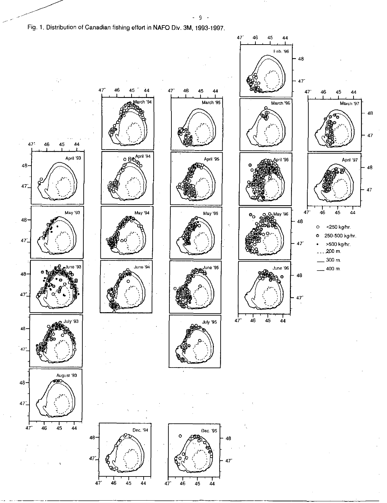Fig. 1. Distribution of Canadian fishing effort in NAFO Div. 3M, 1993-1997.

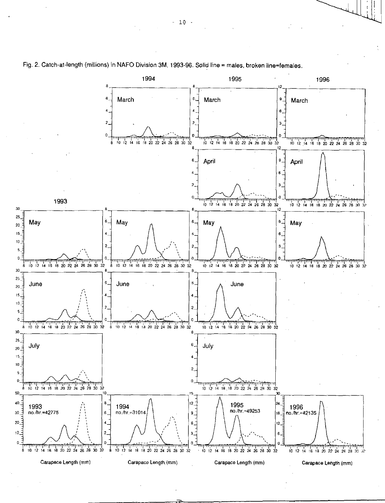

# Fig. 2. Catch-at-length (millions) in NAFO Division 3M, 1993-96. Solid line = males, broken line=females.

 $-10 -$